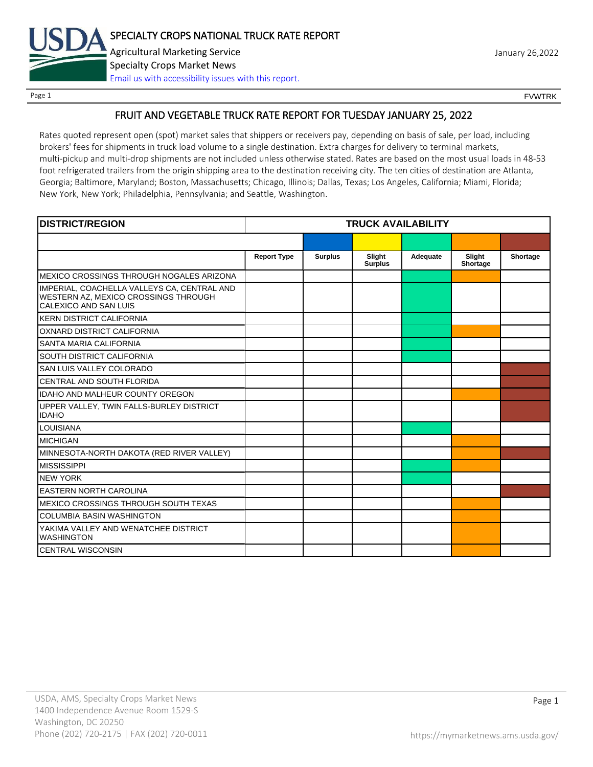

Page 1 FOUNTRK CONTROL CONTROL CONTROL CONTROL CONTROL CONTROL CONTROL CONTROL CONTROL CONTROL CONTROL CONTROL CONTROL CONTROL CONTROL CONTROL CONTROL CONTROL CONTROL CONTROL CONTROL CONTROL CONTROL CONTROL CONTROL CONTROL

# FRUIT AND VEGETABLE TRUCK RATE REPORT FOR TUESDAY JANUARY 25, 2022

Rates quoted represent open (spot) market sales that shippers or receivers pay, depending on basis of sale, per load, including brokers' fees for shipments in truck load volume to a single destination. Extra charges for delivery to terminal markets, multi-pickup and multi-drop shipments are not included unless otherwise stated. Rates are based on the most usual loads in 48-53 foot refrigerated trailers from the origin shipping area to the destination receiving city. The ten cities of destination are Atlanta, Georgia; Baltimore, Maryland; Boston, Massachusetts; Chicago, Illinois; Dallas, Texas; Los Angeles, California; Miami, Florida; New York, New York; Philadelphia, Pennsylvania; and Seattle, Washington.

| <b>DISTRICT/REGION</b>                                                                                       | <b>TRUCK AVAILABILITY</b> |                |                          |          |                    |          |
|--------------------------------------------------------------------------------------------------------------|---------------------------|----------------|--------------------------|----------|--------------------|----------|
|                                                                                                              |                           |                |                          |          |                    |          |
|                                                                                                              | <b>Report Type</b>        | <b>Surplus</b> | Slight<br><b>Surplus</b> | Adequate | Slight<br>Shortage | Shortage |
| IMEXICO CROSSINGS THROUGH NOGALES ARIZONA                                                                    |                           |                |                          |          |                    |          |
| IMPERIAL, COACHELLA VALLEYS CA, CENTRAL AND<br>WESTERN AZ, MEXICO CROSSINGS THROUGH<br>CALEXICO AND SAN LUIS |                           |                |                          |          |                    |          |
| <b>KERN DISTRICT CALIFORNIA</b>                                                                              |                           |                |                          |          |                    |          |
| OXNARD DISTRICT CALIFORNIA                                                                                   |                           |                |                          |          |                    |          |
| <b>SANTA MARIA CALIFORNIA</b>                                                                                |                           |                |                          |          |                    |          |
| <b>SOUTH DISTRICT CALIFORNIA</b>                                                                             |                           |                |                          |          |                    |          |
| <b>SAN LUIS VALLEY COLORADO</b>                                                                              |                           |                |                          |          |                    |          |
| CENTRAL AND SOUTH FLORIDA                                                                                    |                           |                |                          |          |                    |          |
| <b>IDAHO AND MALHEUR COUNTY OREGON</b>                                                                       |                           |                |                          |          |                    |          |
| UPPER VALLEY, TWIN FALLS-BURLEY DISTRICT<br><b>IDAHO</b>                                                     |                           |                |                          |          |                    |          |
| <b>LOUISIANA</b>                                                                                             |                           |                |                          |          |                    |          |
| <b>IMICHIGAN</b>                                                                                             |                           |                |                          |          |                    |          |
| MINNESOTA-NORTH DAKOTA (RED RIVER VALLEY)                                                                    |                           |                |                          |          |                    |          |
| <b>MISSISSIPPI</b>                                                                                           |                           |                |                          |          |                    |          |
| <b>INEW YORK</b>                                                                                             |                           |                |                          |          |                    |          |
| <b>EASTERN NORTH CAROLINA</b>                                                                                |                           |                |                          |          |                    |          |
| <b>MEXICO CROSSINGS THROUGH SOUTH TEXAS</b>                                                                  |                           |                |                          |          |                    |          |
| <b>COLUMBIA BASIN WASHINGTON</b>                                                                             |                           |                |                          |          |                    |          |
| YAKIMA VALLEY AND WENATCHEE DISTRICT<br><b>WASHINGTON</b>                                                    |                           |                |                          |          |                    |          |
| <b>CENTRAL WISCONSIN</b>                                                                                     |                           |                |                          |          |                    |          |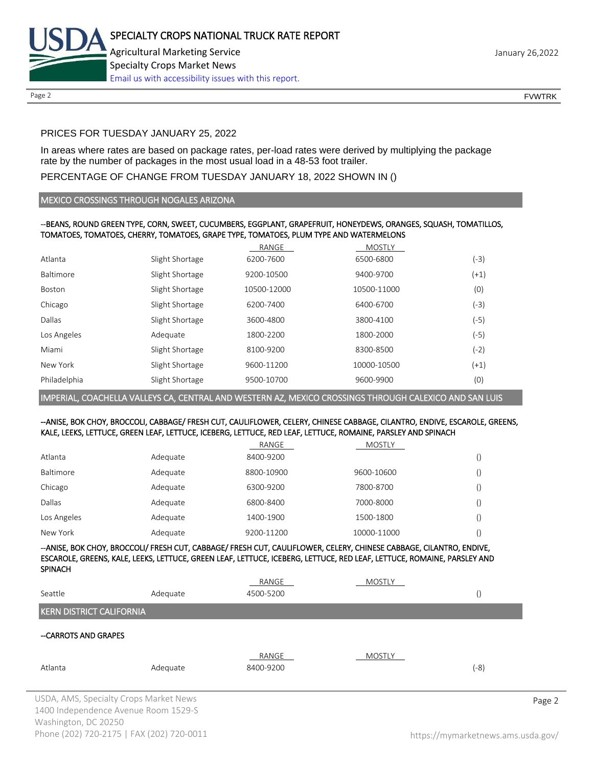

Page 2 FOUNTRK CONTROL CONTROL CONTROL CONTROL CONTROL CONTROL CONTROL CONTROL CONTROL CONTROL CONTROL CONTROL CONTROL CONTROL CONTROL CONTROL CONTROL CONTROL CONTROL CONTROL CONTROL CONTROL CONTROL CONTROL CONTROL CONTROL

## PRICES FOR TUESDAY JANUARY 25, 2022

In areas where rates are based on package rates, per-load rates were derived by multiplying the package rate by the number of packages in the most usual load in a 48-53 foot trailer.

## PERCENTAGE OF CHANGE FROM TUESDAY JANUARY 18, 2022 SHOWN IN ()

### MEXICO CROSSINGS THROUGH NOGALES ARIZONA

### --BEANS, ROUND GREEN TYPE, CORN, SWEET, CUCUMBERS, EGGPLANT, GRAPEFRUIT, HONEYDEWS, ORANGES, SQUASH, TOMATILLOS, TOMATOES, TOMATOES, CHERRY, TOMATOES, GRAPE TYPE, TOMATOES, PLUM TYPE AND WATERMELONS

|              |                 | RANGE       | <b>MOSTLY</b> |        |
|--------------|-----------------|-------------|---------------|--------|
| Atlanta      | Slight Shortage | 6200-7600   | 6500-6800     | (-3)   |
| Baltimore    | Slight Shortage | 9200-10500  | 9400-9700     | $(+1)$ |
| Boston       | Slight Shortage | 10500-12000 | 10500-11000   | (0)    |
| Chicago      | Slight Shortage | 6200-7400   | 6400-6700     | (-3)   |
| Dallas       | Slight Shortage | 3600-4800   | 3800-4100     | (-5)   |
| Los Angeles  | Adequate        | 1800-2200   | 1800-2000     | $(-5)$ |
| Miami        | Slight Shortage | 8100-9200   | 8300-8500     | (-2)   |
| New York     | Slight Shortage | 9600-11200  | 10000-10500   | $(+1)$ |
| Philadelphia | Slight Shortage | 9500-10700  | 9600-9900     | (0)    |

IMPERIAL, COACHELLA VALLEYS CA, CENTRAL AND WESTERN AZ, MEXICO CROSSINGS THROUGH CALEXICO AND SAN LUIS

### --ANISE, BOK CHOY, BROCCOLI, CABBAGE/ FRESH CUT, CAULIFLOWER, CELERY, CHINESE CABBAGE, CILANTRO, ENDIVE, ESCAROLE, GREENS, KALE, LEEKS, LETTUCE, GREEN LEAF, LETTUCE, ICEBERG, LETTUCE, RED LEAF, LETTUCE, ROMAINE, PARSLEY AND SPINACH

|             |          | RANGE      | <b>MOSTLY</b> |  |
|-------------|----------|------------|---------------|--|
| Atlanta     | Adequate | 8400-9200  |               |  |
| Baltimore   | Adequate | 8800-10900 | 9600-10600    |  |
| Chicago     | Adequate | 6300-9200  | 7800-8700     |  |
| Dallas      | Adequate | 6800-8400  | 7000-8000     |  |
| Los Angeles | Adequate | 1400-1900  | 1500-1800     |  |
| New York    | Adequate | 9200-11200 | 10000-11000   |  |

--ANISE, BOK CHOY, BROCCOLI/ FRESH CUT, CABBAGE/ FRESH CUT, CAULIFLOWER, CELERY, CHINESE CABBAGE, CILANTRO, ENDIVE, ESCAROLE, GREENS, KALE, LEEKS, LETTUCE, GREEN LEAF, LETTUCE, ICEBERG, LETTUCE, RED LEAF, LETTUCE, ROMAINE, PARSLEY AND SPINACH

|                                                                                |          | RANGE              | MOSTLY |                  |        |
|--------------------------------------------------------------------------------|----------|--------------------|--------|------------------|--------|
| Seattle                                                                        | Adequate | 4500-5200          |        | $\left( \right)$ |        |
| <b>KERN DISTRICT CALIFORNIA</b>                                                |          |                    |        |                  |        |
| --CARROTS AND GRAPES                                                           |          |                    |        |                  |        |
| Atlanta                                                                        | Adequate | RANGE<br>8400-9200 | MOSTLY | (-8)             |        |
| USDA, AMS, Specialty Crops Market News<br>1400 Independence Avenue Room 1529-S |          |                    |        |                  | Page 2 |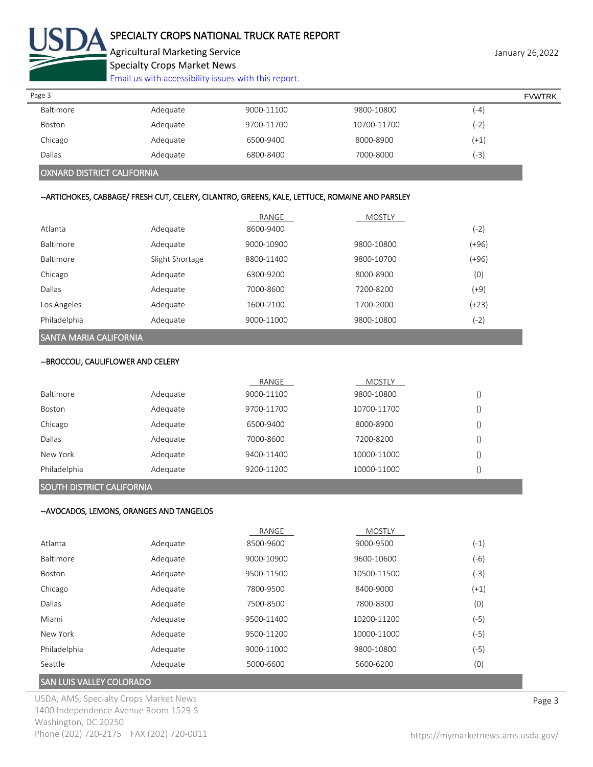

# SPECIALTY CROPS NATIONAL TRUCK RATE REPORT

Agricultural Marketing Service **Agricultural Marketing Service** January 26,2022 Specialty Crops Market News

[Email us with accessibility issues with this report.](mailto:mars@ams.usda.gov?subject=508%20Inquiry/Report)

| Page 3    |          |            |             |        | <b>FVWTRK</b> |
|-----------|----------|------------|-------------|--------|---------------|
| Baltimore | Adequate | 9000-11100 | 9800-10800  | $(-4)$ |               |
| Boston    | Adequate | 9700-11700 | 10700-11700 | (-2'   |               |
| Chicago   | Adequate | 6500-9400  | 8000-8900   | $(+1)$ |               |
| Dallas    | Adequate | 6800-8400  | 7000-8000   | (-3    |               |
|           |          |            |             |        |               |

### OXNARD DISTRICT CALIFORNIA

## --ARTICHOKES, CABBAGE/ FRESH CUT, CELERY, CILANTRO, GREENS, KALE, LETTUCE, ROMAINE AND PARSLEY

|                  |                 | RANGE      | <b>MOSTLY</b> |         |
|------------------|-----------------|------------|---------------|---------|
| Atlanta          | Adequate        | 8600-9400  |               | (-2)    |
| <b>Baltimore</b> | Adequate        | 9000-10900 | 9800-10800    | (+96)   |
| Baltimore        | Slight Shortage | 8800-11400 | 9800-10700    | (+96)   |
| Chicago          | Adequate        | 6300-9200  | 8000-8900     | (0)     |
| Dallas           | Adequate        | 7000-8600  | 7200-8200     | (+9)    |
| Los Angeles      | Adequate        | 1600-2100  | 1700-2000     | $(+23)$ |
| Philadelphia     | Adequate        | 9000-11000 | 9800-10800    | $(-2)$  |

## SANTA MARIA CALIFORNIA

#### --BROCCOLI, CAULIFLOWER AND CELERY

|                  |          | RANGE      | MOSTLY      |  |
|------------------|----------|------------|-------------|--|
| <b>Baltimore</b> | Adequate | 9000-11100 | 9800-10800  |  |
| <b>Boston</b>    | Adequate | 9700-11700 | 10700-11700 |  |
| Chicago          | Adequate | 6500-9400  | 8000-8900   |  |
| Dallas           | Adequate | 7000-8600  | 7200-8200   |  |
| New York         | Adequate | 9400-11400 | 10000-11000 |  |
| Philadelphia     | Adequate | 9200-11200 | 10000-11000 |  |

#### SOUTH DISTRICT CALIFORNIA

### --AVOCADOS, LEMONS, ORANGES AND TANGELOS

|                  |          | RANGE      | <b>MOSTLY</b> |        |
|------------------|----------|------------|---------------|--------|
| Atlanta          | Adequate | 8500-9600  | 9000-9500     | $(-1)$ |
| <b>Baltimore</b> | Adequate | 9000-10900 | 9600-10600    | $(-6)$ |
| Boston           | Adequate | 9500-11500 | 10500-11500   | $(-3)$ |
| Chicago          | Adequate | 7800-9500  | 8400-9000     | $(+1)$ |
| Dallas           | Adequate | 7500-8500  | 7800-8300     | (0)    |
| Miami            | Adequate | 9500-11400 | 10200-11200   | (-5)   |
| New York         | Adequate | 9500-11200 | 10000-11000   | (-5)   |
| Philadelphia     | Adequate | 9000-11000 | 9800-10800    | (-5)   |
| Seattle          | Adequate | 5000-6600  | 5600-6200     | (0)    |

## SAN LUIS VALLEY COLORADO

USDA, AMS, Specialty Crops Market News **Page 3** 1400 Independence Avenue Room 1529-S Washington, DC 20250 Phone (202) 720-2175 | FAX (202) 720-0011 <https://mymarketnews.ams.usda.gov/>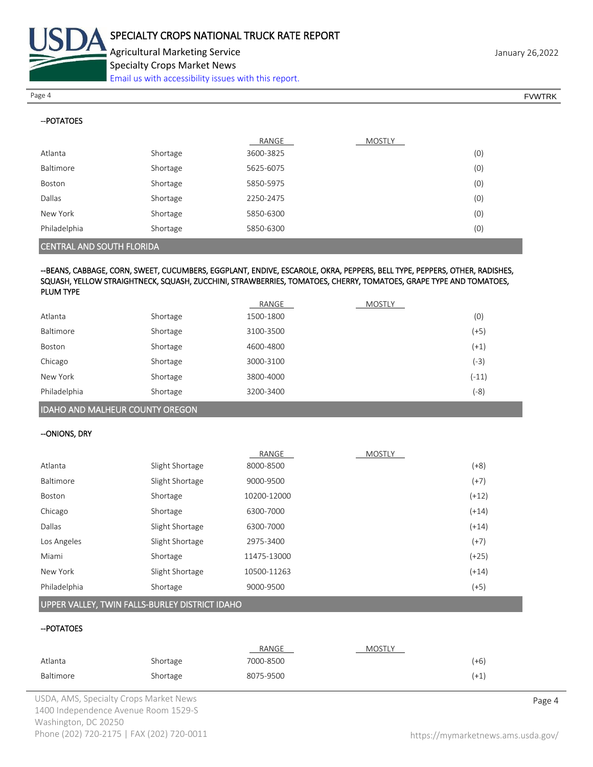

--POTATOES

**PLUM TYPE** 

Specialty Crops Market News

[Email us with accessibility issues with this report.](mailto:mars@ams.usda.gov?subject=508%20Inquiry/Report)

Page 4 FOUNTRK And the set of the set of the set of the set of the set of the set of the set of the set of the set of the set of the set of the set of the set of the set of the set of the set of the set of the set of the s

|                                  |          | RANGE     | <b>MOSTLY</b> |     |
|----------------------------------|----------|-----------|---------------|-----|
| Atlanta                          | Shortage | 3600-3825 |               | (0) |
| Baltimore                        | Shortage | 5625-6075 |               | (0) |
| Boston                           | Shortage | 5850-5975 |               | (0) |
| Dallas                           | Shortage | 2250-2475 |               | (0) |
| New York                         | Shortage | 5850-6300 |               | (0) |
| Philadelphia                     | Shortage | 5850-6300 |               | (0) |
| <b>CENTRAL AND SOUTH FLORIDA</b> |          |           |               |     |

# --BEANS, CABBAGE, CORN, SWEET, CUCUMBERS, EGGPLANT, ENDIVE, ESCAROLE, OKRA, PEPPERS, BELL TYPE, PEPPERS, OTHER, RADISHES, SQUASH, YELLOW STRAIGHTNECK, SQUASH, ZUCCHINI, STRAWBERRIES, TOMATOES, CHERRY, TOMATOES, GRAPE TYPE AND TOMATOES,

| <b>FLUIVIIIFL</b> |          |           |               |         |
|-------------------|----------|-----------|---------------|---------|
|                   |          | RANGE     | <b>MOSTLY</b> |         |
| Atlanta           | Shortage | 1500-1800 |               | (0)     |
| Baltimore         | Shortage | 3100-3500 |               | $(+5)$  |
| Boston            | Shortage | 4600-4800 |               | $(+1)$  |
| Chicago           | Shortage | 3000-3100 |               | (-3)    |
| New York          | Shortage | 3800-4000 |               | $(-11)$ |
| Philadelphia      | Shortage | 3200-3400 |               | $(-8)$  |

### IDAHO AND MALHEUR COUNTY OREGON

#### --ONIONS, DRY

|              |                 | RANGE       | <b>MOSTLY</b> |         |
|--------------|-----------------|-------------|---------------|---------|
| Atlanta      | Slight Shortage | 8000-8500   |               | $(+8)$  |
| Baltimore    | Slight Shortage | 9000-9500   |               | $(+7)$  |
| Boston       | Shortage        | 10200-12000 |               | $(+12)$ |
| Chicago      | Shortage        | 6300-7000   |               | $(+14)$ |
| Dallas       | Slight Shortage | 6300-7000   |               | $(+14)$ |
| Los Angeles  | Slight Shortage | 2975-3400   |               | $(+7)$  |
| Miami        | Shortage        | 11475-13000 |               | $(+25)$ |
| New York     | Slight Shortage | 10500-11263 |               | $(+14)$ |
| Philadelphia | Shortage        | 9000-9500   |               | $(+5)$  |
|              |                 |             |               |         |

## UPPER VALLEY, TWIN FALLS-BURLEY DISTRICT IDAHO

### --POTATOES

|           |          | <b>RANGE</b> | <b>MOSTLY</b> |        |
|-----------|----------|--------------|---------------|--------|
| Atlanta   | Shortage | 7000-8500    |               | (+6)   |
| Baltimore | Shortage | 8075-9500    |               | $(+1)$ |

USDA, AMS, Specialty Crops Market News **Page 4** 1400 Independence Avenue Room 1529-S Washington, DC 20250 Phone (202) 720-2175 | FAX (202) 720-0011 <https://mymarketnews.ams.usda.gov/>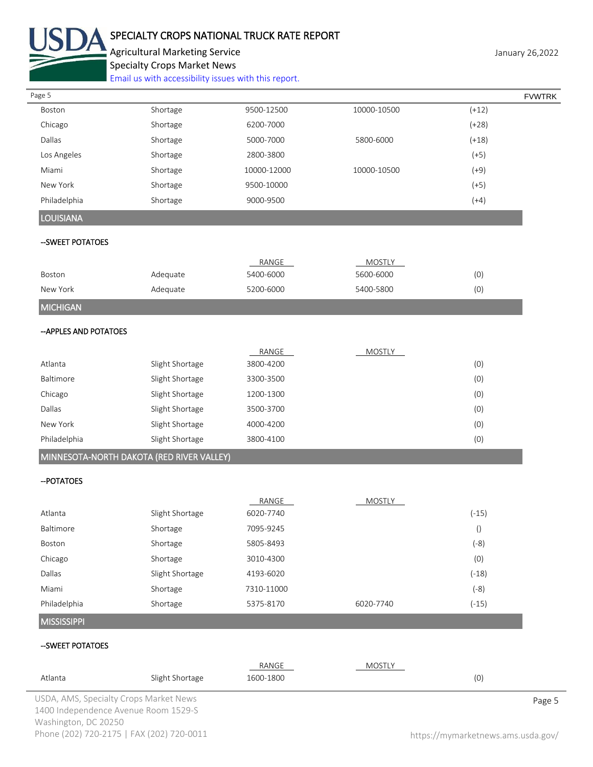

# SPECIALTY CROPS NATIONAL TRUCK RATE REPORT

Agricultural Marketing Service **January 26,2022** January 26,2022 Specialty Crops Market News

[Email us with accessibility issues with this report.](mailto:mars@ams.usda.gov?subject=508%20Inquiry/Report)

| Page 5                                    |                 |             |               |                  | <b>FVWTRK</b> |
|-------------------------------------------|-----------------|-------------|---------------|------------------|---------------|
| Boston                                    | Shortage        | 9500-12500  | 10000-10500   | $(+12)$          |               |
| Chicago                                   | Shortage        | 6200-7000   |               | $(+28)$          |               |
| Dallas                                    | Shortage        | 5000-7000   | 5800-6000     | $(+18)$          |               |
| Los Angeles                               | Shortage        | 2800-3800   |               | $(+5)$           |               |
| Miami                                     | Shortage        | 10000-12000 | 10000-10500   | $(+9)$           |               |
| New York                                  | Shortage        | 9500-10000  |               | $(+5)$           |               |
| Philadelphia                              | Shortage        | 9000-9500   |               | $(+4)$           |               |
| <b>LOUISIANA</b>                          |                 |             |               |                  |               |
| --SWEET POTATOES                          |                 |             |               |                  |               |
|                                           |                 | RANGE       | <b>MOSTLY</b> |                  |               |
| Boston                                    | Adequate        | 5400-6000   | 5600-6000     | (0)              |               |
| New York                                  | Adequate        | 5200-6000   | 5400-5800     | (0)              |               |
| <b>MICHIGAN</b>                           |                 |             |               |                  |               |
| -- APPLES AND POTATOES                    |                 |             |               |                  |               |
|                                           |                 | RANGE       | <b>MOSTLY</b> |                  |               |
| Atlanta                                   | Slight Shortage | 3800-4200   |               | (0)              |               |
| Baltimore                                 | Slight Shortage | 3300-3500   |               | (0)              |               |
| Chicago                                   | Slight Shortage | 1200-1300   |               | (0)              |               |
| Dallas                                    | Slight Shortage | 3500-3700   |               | (0)              |               |
| New York                                  | Slight Shortage | 4000-4200   |               | (0)              |               |
| Philadelphia                              | Slight Shortage | 3800-4100   |               | (0)              |               |
| MINNESOTA-NORTH DAKOTA (RED RIVER VALLEY) |                 |             |               |                  |               |
| -- POTATOES                               |                 |             |               |                  |               |
|                                           |                 | RANGE       | <b>MOSTLY</b> |                  |               |
| Atlanta                                   | Slight Shortage | 6020-7740   |               | $(-15)$          |               |
| Baltimore                                 | Shortage        | 7095-9245   |               | $\left( \right)$ |               |
| Boston                                    | Shortage        | 5805-8493   |               | $(-8)$           |               |
| Chicago                                   | Shortage        | 3010-4300   |               | (0)              |               |
| Dallas                                    | Slight Shortage | 4193-6020   |               | $(-18)$          |               |
| Miami                                     | Shortage        | 7310-11000  |               | $(-8)$           |               |
| Philadelphia                              | Shortage        | 5375-8170   | 6020-7740     | $(-15)$          |               |
| <b>MISSISSIPPI</b>                        |                 |             |               |                  |               |
| --SWEET POTATOES                          |                 |             |               |                  |               |
|                                           |                 | RANGE       | <b>MOSTLY</b> |                  |               |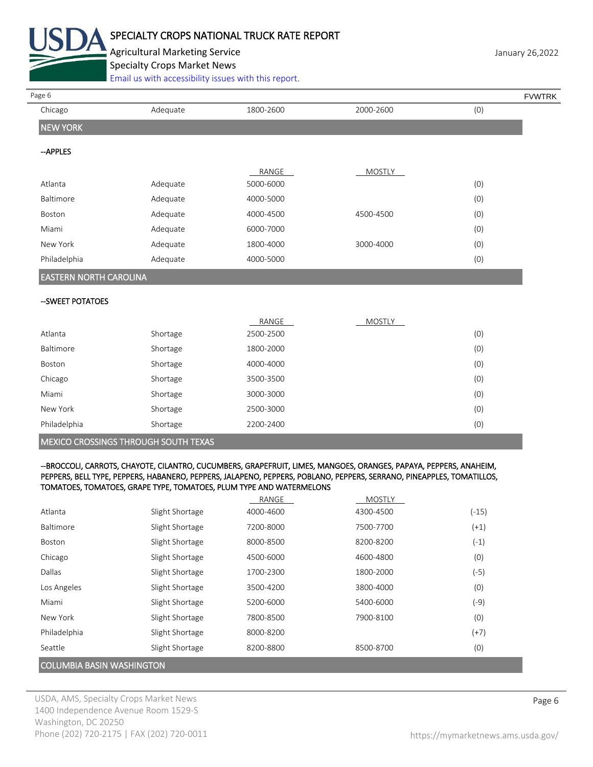

# SPECIALTY CROPS NATIONAL TRUCK RATE REPORT

Agricultural Marketing Service **Agricultural Marketing Service** January 26,2022 Specialty Crops Market News

[Email us with accessibility issues with this report.](mailto:mars@ams.usda.gov?subject=508%20Inquiry/Report)

| Page 6                        |          |           |               | <b>FVWTRK</b> |  |
|-------------------------------|----------|-----------|---------------|---------------|--|
| Chicago                       | Adequate | 1800-2600 | 2000-2600     | (0)           |  |
| <b>NEW YORK</b>               |          |           |               |               |  |
| -APPLES                       |          |           |               |               |  |
|                               |          | RANGE     | <b>MOSTLY</b> |               |  |
| Atlanta                       | Adequate | 5000-6000 |               | (0)           |  |
| Baltimore                     | Adequate | 4000-5000 |               | (0)           |  |
| Boston                        | Adequate | 4000-4500 | 4500-4500     | (0)           |  |
| Miami                         | Adequate | 6000-7000 |               | (0)           |  |
| New York                      | Adequate | 1800-4000 | 3000-4000     | (0)           |  |
| Philadelphia                  | Adequate | 4000-5000 |               | (0)           |  |
| <b>EASTERN NORTH CAROLINA</b> |          |           |               |               |  |
| --SWEET POTATOES              |          |           |               |               |  |

|                                             |          | RANGE     | <b>MOSTLY</b> |     |  |
|---------------------------------------------|----------|-----------|---------------|-----|--|
| Atlanta                                     | Shortage | 2500-2500 |               | (0) |  |
| Baltimore                                   | Shortage | 1800-2000 |               | (0) |  |
| Boston                                      | Shortage | 4000-4000 |               | (0) |  |
| Chicago                                     | Shortage | 3500-3500 |               | (0) |  |
| Miami                                       | Shortage | 3000-3000 |               | (0) |  |
| New York                                    | Shortage | 2500-3000 |               | (0) |  |
| Philadelphia                                | Shortage | 2200-2400 |               | (0) |  |
| <b>MEVICO CROCCIMOS TURQUOU COUTU TEVAS</b> |          |           |               |     |  |

#### MEXICO CROSSINGS THROUGH SOUTH TEXAS

#### --BROCCOLI, CARROTS, CHAYOTE, CILANTRO, CUCUMBERS, GRAPEFRUIT, LIMES, MANGOES, ORANGES, PAPAYA, PEPPERS, ANAHEIM, PEPPERS, BELL TYPE, PEPPERS, HABANERO, PEPPERS, JALAPENO, PEPPERS, POBLANO, PEPPERS, SERRANO, PINEAPPLES, TOMATILLOS, TOMATOES, TOMATOES, GRAPE TYPE, TOMATOES, PLUM TYPE AND WATERMELONS

|                                  |                 | RANGE     | <b>MOSTLY</b> |         |  |
|----------------------------------|-----------------|-----------|---------------|---------|--|
| Atlanta                          | Slight Shortage | 4000-4600 | 4300-4500     | $(-15)$ |  |
| <b>Baltimore</b>                 | Slight Shortage | 7200-8000 | 7500-7700     | $(+1)$  |  |
| <b>Boston</b>                    | Slight Shortage | 8000-8500 | 8200-8200     | $(-1)$  |  |
| Chicago                          | Slight Shortage | 4500-6000 | 4600-4800     | (0)     |  |
| Dallas                           | Slight Shortage | 1700-2300 | 1800-2000     | $(-5)$  |  |
| Los Angeles                      | Slight Shortage | 3500-4200 | 3800-4000     | (0)     |  |
| Miami                            | Slight Shortage | 5200-6000 | 5400-6000     | (-9)    |  |
| New York                         | Slight Shortage | 7800-8500 | 7900-8100     | (0)     |  |
| Philadelphia                     | Slight Shortage | 8000-8200 |               | $(+7)$  |  |
| Seattle                          | Slight Shortage | 8200-8800 | 8500-8700     | (0)     |  |
| <b>COLUMBIA BASIN WASHINGTON</b> |                 |           |               |         |  |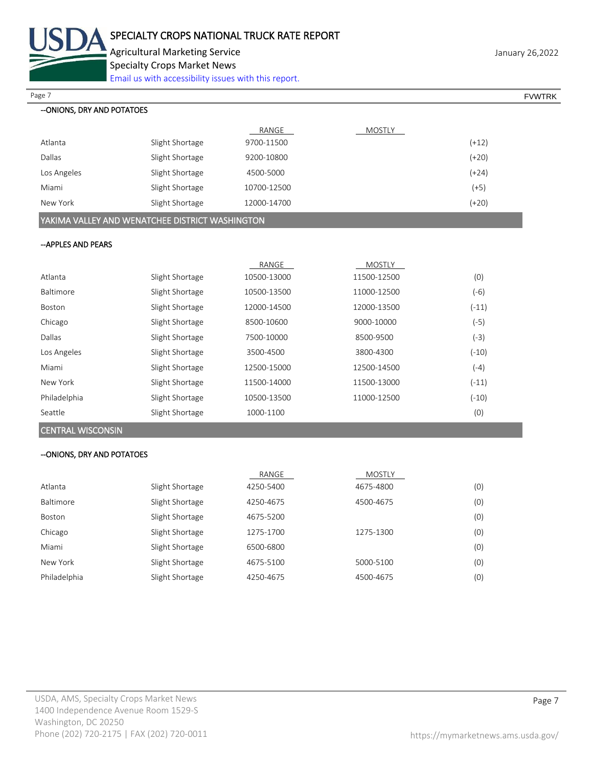

Agricultural Marketing Service **Agricultural Marketing Service** January 26,2022 Specialty Crops Market News

[Email us with accessibility issues with this report.](mailto:mars@ams.usda.gov?subject=508%20Inquiry/Report)

| Page 7                                          |                 |             |               |         | <b>FVWTRK</b> |
|-------------------------------------------------|-----------------|-------------|---------------|---------|---------------|
| --ONIONS, DRY AND POTATOES                      |                 |             |               |         |               |
|                                                 |                 | RANGE       | <b>MOSTLY</b> |         |               |
| Atlanta                                         | Slight Shortage | 9700-11500  |               | $(+12)$ |               |
| Dallas                                          | Slight Shortage | 9200-10800  |               | $(+20)$ |               |
| Los Angeles                                     | Slight Shortage | 4500-5000   |               | $(+24)$ |               |
| Miami                                           | Slight Shortage | 10700-12500 |               | $(+5)$  |               |
| New York                                        | Slight Shortage | 12000-14700 |               | $(+20)$ |               |
| YAKIMA VALLEY AND WENATCHEE DISTRICT WASHINGTON |                 |             |               |         |               |
|                                                 |                 |             |               |         |               |

### --APPLES AND PEARS

|               |                 | RANGE       | <b>MOSTLY</b> |         |
|---------------|-----------------|-------------|---------------|---------|
| Atlanta       | Slight Shortage | 10500-13000 | 11500-12500   | (0)     |
| Baltimore     | Slight Shortage | 10500-13500 | 11000-12500   | (-6)    |
| <b>Boston</b> | Slight Shortage | 12000-14500 | 12000-13500   | $(-11)$ |
| Chicago       | Slight Shortage | 8500-10600  | 9000-10000    | (-5)    |
| Dallas        | Slight Shortage | 7500-10000  | 8500-9500     | (-3)    |
| Los Angeles   | Slight Shortage | 3500-4500   | 3800-4300     | $(-10)$ |
| Miami         | Slight Shortage | 12500-15000 | 12500-14500   | (-4)    |
| New York      | Slight Shortage | 11500-14000 | 11500-13000   | $(-11)$ |
| Philadelphia  | Slight Shortage | 10500-13500 | 11000-12500   | $(-10)$ |
| Seattle       | Slight Shortage | 1000-1100   |               | (0)     |
|               |                 |             |               |         |

CENTRAL WISCONSIN

### --ONIONS, DRY AND POTATOES

|              |                 | RANGE     | MOSTLY    |     |
|--------------|-----------------|-----------|-----------|-----|
| Atlanta      | Slight Shortage | 4250-5400 | 4675-4800 | (0) |
| Baltimore    | Slight Shortage | 4250-4675 | 4500-4675 | (0) |
| Boston       | Slight Shortage | 4675-5200 |           | (0) |
| Chicago      | Slight Shortage | 1275-1700 | 1275-1300 | (0) |
| Miami        | Slight Shortage | 6500-6800 |           | (0) |
| New York     | Slight Shortage | 4675-5100 | 5000-5100 | (0) |
| Philadelphia | Slight Shortage | 4250-4675 | 4500-4675 | (0) |